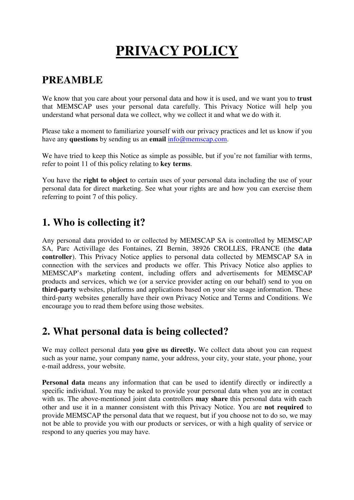# **PRIVACY POLICY**

# **PREAMBLE**

We know that you care about your personal data and how it is used, and we want you to **trust** that MEMSCAP uses your personal data carefully. This Privacy Notice will help you understand what personal data we collect, why we collect it and what we do with it.

Please take a moment to familiarize yourself with our privacy practices and let us know if you have any **questions** by sending us an **email**  $info(\omega)$ memscap.com.

We have tried to keep this Notice as simple as possible, but if you're not familiar with terms, refer to point 11 of this policy relating to **key terms**.

You have the **right to object** to certain uses of your personal data including the use of your personal data for direct marketing. See what your rights are and how you can exercise them referring to point 7 of this policy.

# **1. Who is collecting it?**

Any personal data provided to or collected by MEMSCAP SA is controlled by MEMSCAP SA, Parc Activillage des Fontaines, ZI Bernin, 38926 CROLLES, FRANCE (the **data controller**). This Privacy Notice applies to personal data collected by MEMSCAP SA in connection with the services and products we offer. This Privacy Notice also applies to MEMSCAP's marketing content, including offers and advertisements for MEMSCAP products and services, which we (or a service provider acting on our behalf) send to you on **third-party** websites, platforms and applications based on your site usage information. These third-party websites generally have their own Privacy Notice and Terms and Conditions. We encourage you to read them before using those websites.

# **2. What personal data is being collected?**

We may collect personal data **you give us directly.** We collect data about you can request such as your name, your company name, your address, your city, your state, your phone, your e-mail address, your website.

**Personal data** means any information that can be used to identify directly or indirectly a specific individual. You may be asked to provide your personal data when you are in contact with us. The above-mentioned joint data controllers **may share** this personal data with each other and use it in a manner consistent with this Privacy Notice. You are **not required** to provide MEMSCAP the personal data that we request, but if you choose not to do so, we may not be able to provide you with our products or services, or with a high quality of service or respond to any queries you may have.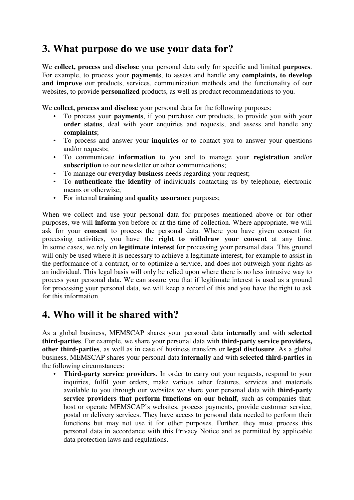### **3. What purpose do we use your data for?**

We **collect, process** and **disclose** your personal data only for specific and limited **purposes**. For example, to process your **payments**, to assess and handle any **complaints, to develop and improve** our products, services, communication methods and the functionality of our websites, to provide **personalized** products, as well as product recommendations to you.

We **collect, process and disclose** your personal data for the following purposes:

- To process your **payments**, if you purchase our products, to provide you with your **order status**, deal with your enquiries and requests, and assess and handle any **complaints**;
- To process and answer your **inquiries** or to contact you to answer your questions and/or requests;
- To communicate **information** to you and to manage your **registration** and/or **subscription** to our newsletter or other communications;
- To manage our **everyday business** needs regarding your request;
- To **authenticate the identity** of individuals contacting us by telephone, electronic means or otherwise;
- For internal **training** and **quality assurance** purposes;

When we collect and use your personal data for purposes mentioned above or for other purposes, we will **inform** you before or at the time of collection. Where appropriate, we will ask for your **consent** to process the personal data. Where you have given consent for processing activities, you have the **right to withdraw your consent** at any time. In some cases, we rely on **legitimate interest** for processing your personal data. This ground will only be used where it is necessary to achieve a legitimate interest, for example to assist in the performance of a contract, or to optimize a service, and does not outweigh your rights as an individual. This legal basis will only be relied upon where there is no less intrusive way to process your personal data. We can assure you that if legitimate interest is used as a ground for processing your personal data, we will keep a record of this and you have the right to ask for this information.

#### **4. Who will it be shared with?**

As a global business, MEMSCAP shares your personal data **internally** and with **selected third-parties**. For example, we share your personal data with **third-party service providers, other third-parties**, as well as in case of business transfers or **legal disclosure**. As a global business, MEMSCAP shares your personal data **internally** and with **selected third-parties** in the following circumstances:

• **Third-party service providers**. In order to carry out your requests, respond to your inquiries, fulfil your orders, make various other features, services and materials available to you through our websites we share your personal data with **third-party service providers that perform functions on our behalf**, such as companies that: host or operate MEMSCAP's websites, process payments, provide customer service, postal or delivery services. They have access to personal data needed to perform their functions but may not use it for other purposes. Further, they must process this personal data in accordance with this Privacy Notice and as permitted by applicable data protection laws and regulations.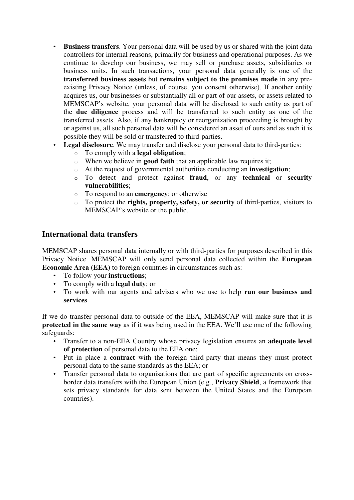- **Business transfers**. Your personal data will be used by us or shared with the joint data controllers for internal reasons, primarily for business and operational purposes. As we continue to develop our business, we may sell or purchase assets, subsidiaries or business units. In such transactions, your personal data generally is one of the **transferred business assets** but **remains subject to the promises made** in any preexisting Privacy Notice (unless, of course, you consent otherwise). If another entity acquires us, our businesses or substantially all or part of our assets, or assets related to MEMSCAP's website, your personal data will be disclosed to such entity as part of the **due diligence** process and will be transferred to such entity as one of the transferred assets. Also, if any bankruptcy or reorganization proceeding is brought by or against us, all such personal data will be considered an asset of ours and as such it is possible they will be sold or transferred to third-parties.
- **Legal disclosure**. We may transfer and disclose your personal data to third-parties:
	- o To comply with a **legal obligation**;
	- o When we believe in **good faith** that an applicable law requires it;
	- o At the request of governmental authorities conducting an **investigation**;
	- o To detect and protect against **fraud**, or any **technical** or **security vulnerabilities**;
	- o To respond to an **emergency**; or otherwise
	- o To protect the **rights, property, safety, or security** of third-parties, visitors to MEMSCAP's website or the public.

#### **International data transfers**

MEMSCAP shares personal data internally or with third-parties for purposes described in this Privacy Notice. MEMSCAP will only send personal data collected within the **European Economic Area (EEA)** to foreign countries in circumstances such as:

- To follow your **instructions**;
- To comply with a **legal duty**; or
- To work with our agents and advisers who we use to help **run our business and services**.

If we do transfer personal data to outside of the EEA, MEMSCAP will make sure that it is **protected in the same way** as if it was being used in the EEA. We'll use one of the following safeguards:

- Transfer to a non-EEA Country whose privacy legislation ensures an **adequate level of protection** of personal data to the EEA one;
- Put in place a **contract** with the foreign third-party that means they must protect personal data to the same standards as the EEA; or
- Transfer personal data to organisations that are part of specific agreements on crossborder data transfers with the European Union (e.g., **Privacy Shield**, a framework that sets privacy standards for data sent between the United States and the European countries).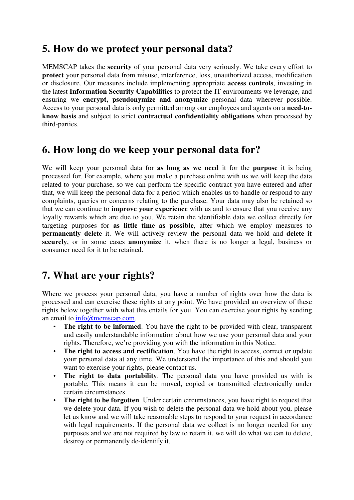#### **5. How do we protect your personal data?**

MEMSCAP takes the **security** of your personal data very seriously. We take every effort to **protect** your personal data from misuse, interference, loss, unauthorized access, modification or disclosure. Our measures include implementing appropriate **access controls**, investing in the latest **Information Security Capabilities** to protect the IT environments we leverage, and ensuring we **encrypt, pseudonymize and anonymize** personal data wherever possible. Access to your personal data is only permitted among our employees and agents on a **need-toknow basis** and subject to strict **contractual confidentiality obligations** when processed by third-parties.

#### **6. How long do we keep your personal data for?**

We will keep your personal data for **as long as we need** it for the **purpose** it is being processed for. For example, where you make a purchase online with us we will keep the data related to your purchase, so we can perform the specific contract you have entered and after that, we will keep the personal data for a period which enables us to handle or respond to any complaints, queries or concerns relating to the purchase. Your data may also be retained so that we can continue to **improve your experience** with us and to ensure that you receive any loyalty rewards which are due to you. We retain the identifiable data we collect directly for targeting purposes for **as little time as possible**, after which we employ measures to **permanently delete** it. We will actively review the personal data we hold and **delete it securely**, or in some cases **anonymize** it, when there is no longer a legal, business or consumer need for it to be retained.

#### **7. What are your rights?**

Where we process your personal data, you have a number of rights over how the data is processed and can exercise these rights at any point. We have provided an overview of these rights below together with what this entails for you. You can exercise your rights by sending an email to info@memscap.com.

- The right to be informed. You have the right to be provided with clear, transparent and easily understandable information about how we use your personal data and your rights. Therefore, we're providing you with the information in this Notice.
- **The right to access and rectification**. You have the right to access, correct or update your personal data at any time. We understand the importance of this and should you want to exercise your rights, please contact us.
- **The right to data portability**. The personal data you have provided us with is portable. This means it can be moved, copied or transmitted electronically under certain circumstances.
- **The right to be forgotten**. Under certain circumstances, you have right to request that we delete your data. If you wish to delete the personal data we hold about you, please let us know and we will take reasonable steps to respond to your request in accordance with legal requirements. If the personal data we collect is no longer needed for any purposes and we are not required by law to retain it, we will do what we can to delete, destroy or permanently de-identify it.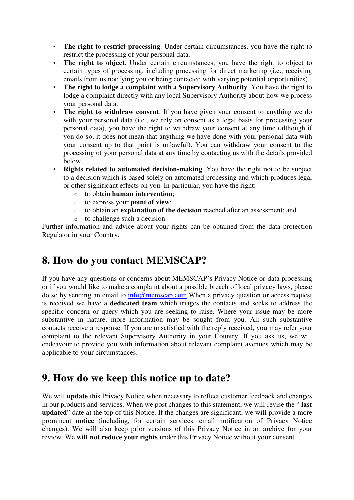- **The right to restrict processing**. Under certain circumstances, you have the right to restrict the processing of your personal data.
- **The right to object**. Under certain circumstances, you have the right to object to certain types of processing, including processing for direct marketing (i.e., receiving emails from us notifying you or being contacted with varying potential opportunities).
- **The right to lodge a complaint with a Supervisory Authority**. You have the right to lodge a complaint directly with any local Supervisory Authority about how we process your personal data.
- **The right to withdraw consent**. If you have given your consent to anything we do with your personal data (i.e., we rely on consent as a legal basis for processing your personal data), you have the right to withdraw your consent at any time (although if you do so, it does not mean that anything we have done with your personal data with your consent up to that point is unlawful). You can withdraw your consent to the processing of your personal data at any time by contacting us with the details provided below.
- **Rights related to automated decision-making**. You have the right not to be subject to a decision which is based solely on automated processing and which produces legal or other significant effects on you. In particular, you have the right:
	- o to obtain **human intervention**;
	- o to express your **point of view**;
	- o to obtain an **explanation of the decision** reached after an assessment; and
	- o to challenge such a decision.

Further information and advice about your rights can be obtained from the data protection Regulator in your Country.

#### **8. How do you contact MEMSCAP?**

If you have any questions or concerns about MEMSCAP's Privacy Notice or data processing or if you would like to make a complaint about a possible breach of local privacy laws, please do so by sending an email to info@memscap.com.When a privacy question or access request is received we have a **dedicated team** which triages the contacts and seeks to address the specific concern or query which you are seeking to raise. Where your issue may be more substantive in nature, more information may be sought from you. All such substantive contacts receive a response. If you are unsatisfied with the reply received, you may refer your complaint to the relevant Supervisory Authority in your Country. If you ask us, we will endeavour to provide you with information about relevant complaint avenues which may be applicable to your circumstances.

#### **9. How do we keep this notice up to date?**

We will **update** this Privacy Notice when necessary to reflect customer feedback and changes in our products and services. When we post changes to this statement, we will revise the " **last updated**" date at the top of this Notice. If the changes are significant, we will provide a more prominent **notice** (including, for certain services, email notification of Privacy Notice changes). We will also keep prior versions of this Privacy Notice in an archive for your review. We **will not reduce your rights** under this Privacy Notice without your consent.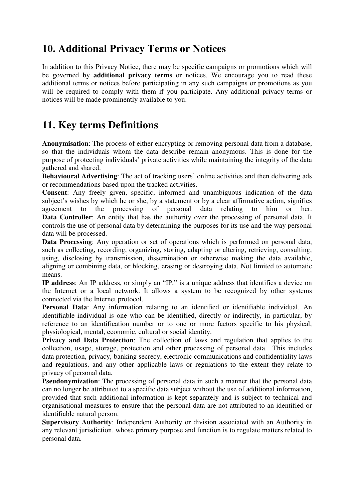#### **10. Additional Privacy Terms or Notices**

In addition to this Privacy Notice, there may be specific campaigns or promotions which will be governed by **additional privacy terms** or notices. We encourage you to read these additional terms or notices before participating in any such campaigns or promotions as you will be required to comply with them if you participate. Any additional privacy terms or notices will be made prominently available to you.

### **11. Key terms Definitions**

**Anonymisation**: The process of either encrypting or removing personal data from a database, so that the individuals whom the data describe remain anonymous. This is done for the purpose of protecting individuals' private activities while maintaining the integrity of the data gathered and shared.

**Behavioural Advertising**: The act of tracking users' online activities and then delivering ads or recommendations based upon the tracked activities.

**Consent**: Any freely given, specific, informed and unambiguous indication of the data subject's wishes by which he or she, by a statement or by a clear affirmative action, signifies agreement to the processing of personal data relating to him or her. **Data Controller**: An entity that has the authority over the processing of personal data. It controls the use of personal data by determining the purposes for its use and the way personal data will be processed.

**Data Processing**: Any operation or set of operations which is performed on personal data, such as collecting, recording, organizing, storing, adapting or altering, retrieving, consulting, using, disclosing by transmission, dissemination or otherwise making the data available, aligning or combining data, or blocking, erasing or destroying data. Not limited to automatic means.

**IP address**: An IP address, or simply an "IP," is a unique address that identifies a device on the Internet or a local network. It allows a system to be recognized by other systems connected via the Internet protocol.

**Personal Data**: Any information relating to an identified or identifiable individual. An identifiable individual is one who can be identified, directly or indirectly, in particular, by reference to an identification number or to one or more factors specific to his physical, physiological, mental, economic, cultural or social identity.

**Privacy and Data Protection**: The collection of laws and regulation that applies to the collection, usage, storage, protection and other processing of personal data. This includes data protection, privacy, banking secrecy, electronic communications and confidentiality laws and regulations, and any other applicable laws or regulations to the extent they relate to privacy of personal data.

**Pseudonymization**: The processing of personal data in such a manner that the personal data can no longer be attributed to a specific data subject without the use of additional information, provided that such additional information is kept separately and is subject to technical and organisational measures to ensure that the personal data are not attributed to an identified or identifiable natural person.

**Supervisory Authority**: Independent Authority or division associated with an Authority in any relevant jurisdiction, whose primary purpose and function is to regulate matters related to personal data.